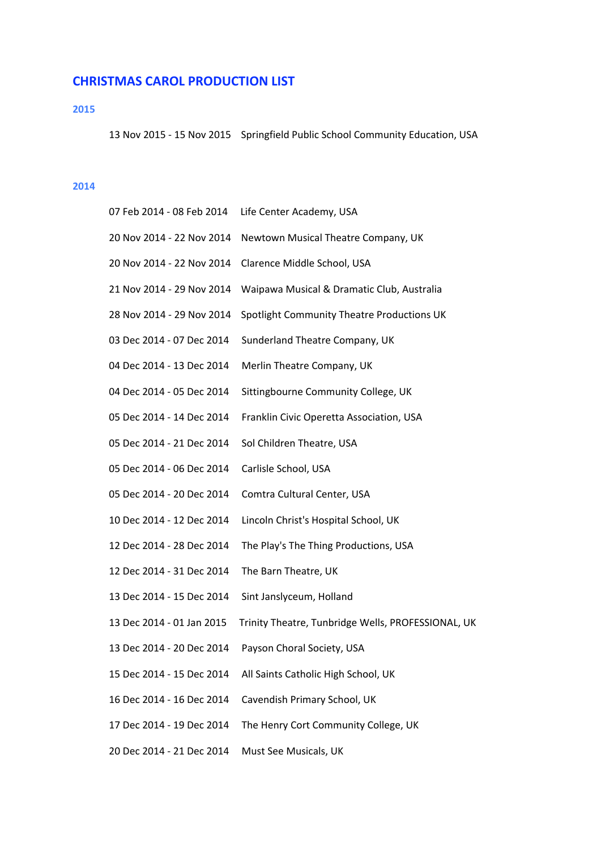# **CHRISTMAS
CAROL
PRODUCTION
LIST**

## **2015**

13
Nov
2015
‐
15
Nov
2015

Springfield
Public
School
Community
Education,
USA

# **2014**

| 07 Feb 2014 - 08 Feb 2014 | Life Center Academy, USA                           |
|---------------------------|----------------------------------------------------|
| 20 Nov 2014 - 22 Nov 2014 | Newtown Musical Theatre Company, UK                |
| 20 Nov 2014 - 22 Nov 2014 | Clarence Middle School, USA                        |
| 21 Nov 2014 - 29 Nov 2014 | Waipawa Musical & Dramatic Club, Australia         |
| 28 Nov 2014 - 29 Nov 2014 | Spotlight Community Theatre Productions UK         |
| 03 Dec 2014 - 07 Dec 2014 | Sunderland Theatre Company, UK                     |
| 04 Dec 2014 - 13 Dec 2014 | Merlin Theatre Company, UK                         |
| 04 Dec 2014 - 05 Dec 2014 | Sittingbourne Community College, UK                |
| 05 Dec 2014 - 14 Dec 2014 | Franklin Civic Operetta Association, USA           |
| 05 Dec 2014 - 21 Dec 2014 | Sol Children Theatre, USA                          |
| 05 Dec 2014 - 06 Dec 2014 | Carlisle School, USA                               |
| 05 Dec 2014 - 20 Dec 2014 | Comtra Cultural Center, USA                        |
| 10 Dec 2014 - 12 Dec 2014 | Lincoln Christ's Hospital School, UK               |
| 12 Dec 2014 - 28 Dec 2014 | The Play's The Thing Productions, USA              |
| 12 Dec 2014 - 31 Dec 2014 | The Barn Theatre, UK                               |
| 13 Dec 2014 - 15 Dec 2014 | Sint Janslyceum, Holland                           |
| 13 Dec 2014 - 01 Jan 2015 | Trinity Theatre, Tunbridge Wells, PROFESSIONAL, UK |
| 13 Dec 2014 - 20 Dec 2014 | Payson Choral Society, USA                         |
| 15 Dec 2014 - 15 Dec 2014 | All Saints Catholic High School, UK                |
| 16 Dec 2014 - 16 Dec 2014 | Cavendish Primary School, UK                       |
| 17 Dec 2014 - 19 Dec 2014 | The Henry Cort Community College, UK               |
| 20 Dec 2014 - 21 Dec 2014 | Must See Musicals, UK                              |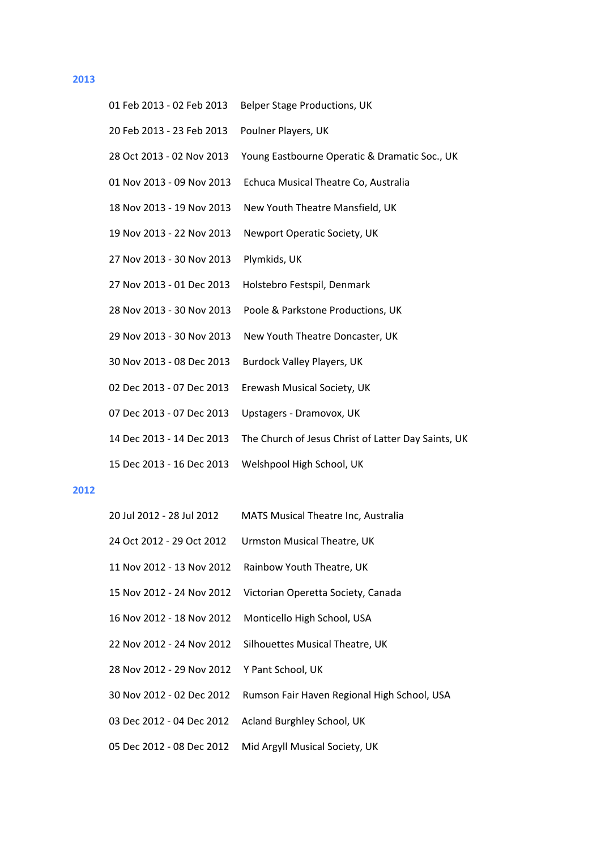#### **2013**

| 01 Feb 2013 - 02 Feb 2013 | <b>Belper Stage Productions, UK</b>                 |
|---------------------------|-----------------------------------------------------|
| 20 Feb 2013 - 23 Feb 2013 | Poulner Players, UK                                 |
| 28 Oct 2013 - 02 Nov 2013 | Young Eastbourne Operatic & Dramatic Soc., UK       |
| 01 Nov 2013 - 09 Nov 2013 | Echuca Musical Theatre Co, Australia                |
| 18 Nov 2013 - 19 Nov 2013 | New Youth Theatre Mansfield, UK                     |
| 19 Nov 2013 - 22 Nov 2013 | Newport Operatic Society, UK                        |
| 27 Nov 2013 - 30 Nov 2013 | Plymkids, UK                                        |
| 27 Nov 2013 - 01 Dec 2013 | Holstebro Festspil, Denmark                         |
| 28 Nov 2013 - 30 Nov 2013 | Poole & Parkstone Productions, UK                   |
| 29 Nov 2013 - 30 Nov 2013 | New Youth Theatre Doncaster, UK                     |
| 30 Nov 2013 - 08 Dec 2013 | <b>Burdock Valley Players, UK</b>                   |
| 02 Dec 2013 - 07 Dec 2013 | Erewash Musical Society, UK                         |
| 07 Dec 2013 - 07 Dec 2013 | Upstagers - Dramovox, UK                            |
| 14 Dec 2013 - 14 Dec 2013 | The Church of Jesus Christ of Latter Day Saints, UK |
| 15 Dec 2013 - 16 Dec 2013 | Welshpool High School, UK                           |

### **2012**

- 20
Jul
2012
‐
28
Jul
2012

MATS
Musical
Theatre
Inc,
Australia
- 24 Oct 2012 29 Oct 2012 Urmston Musical Theatre, UK
- 11
Nov
2012
‐
13
Nov
2012

Rainbow
Youth
Theatre,
UK
- 15
Nov
2012
‐
24
Nov
2012

Victorian
Operetta
Society,
Canada
- 16
Nov
2012
‐
18
Nov
2012

Monticello
High
School,
USA
- 22 Nov 2012 24 Nov 2012 Silhouettes Musical Theatre, UK
- 28
Nov
2012 ‐
29
Nov
2012

Y
Pant
School,
UK
- 30
Nov
2012
‐
02
Dec
2012

Rumson
Fair
Haven
Regional
High
School,
USA
- 03 Dec 2012 04 Dec 2012 Acland Burghley School, UK
- 05
Dec
2012
‐
08
Dec
2012

Mid
Argyll
Musical
Society,
UK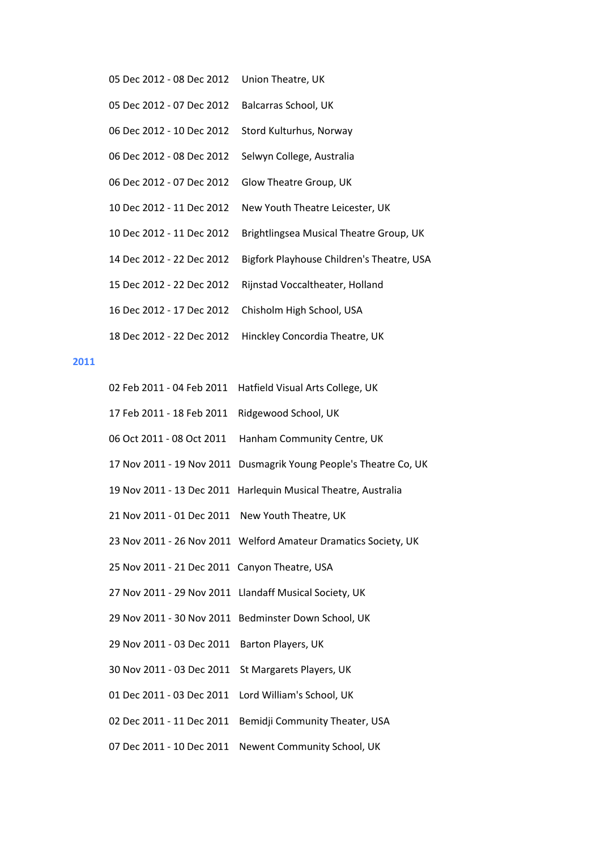| 05 Dec 2012 - 08 Dec 2012 | Union Theatre, UK                         |
|---------------------------|-------------------------------------------|
| 05 Dec 2012 - 07 Dec 2012 | Balcarras School, UK                      |
| 06 Dec 2012 - 10 Dec 2012 | Stord Kulturhus, Norway                   |
| 06 Dec 2012 - 08 Dec 2012 | Selwyn College, Australia                 |
| 06 Dec 2012 - 07 Dec 2012 | Glow Theatre Group, UK                    |
| 10 Dec 2012 - 11 Dec 2012 | New Youth Theatre Leicester, UK           |
| 10 Dec 2012 - 11 Dec 2012 | Brightlingsea Musical Theatre Group, UK   |
| 14 Dec 2012 - 22 Dec 2012 | Bigfork Playhouse Children's Theatre, USA |
| 15 Dec 2012 - 22 Dec 2012 | Rijnstad Voccaltheater, Holland           |
| 16 Dec 2012 - 17 Dec 2012 | Chisholm High School, USA                 |
| 18 Dec 2012 - 22 Dec 2012 | Hinckley Concordia Theatre, UK            |

# **2011**

|                                               | 02 Feb 2011 - 04 Feb 2011 Hatfield Visual Arts College, UK        |
|-----------------------------------------------|-------------------------------------------------------------------|
| 17 Feb 2011 - 18 Feb 2011                     | Ridgewood School, UK                                              |
| 06 Oct 2011 - 08 Oct 2011                     | Hanham Community Centre, UK                                       |
|                                               | 17 Nov 2011 - 19 Nov 2011 Dusmagrik Young People's Theatre Co, UK |
|                                               | 19 Nov 2011 - 13 Dec 2011 Harlequin Musical Theatre, Australia    |
| 21 Nov 2011 - 01 Dec 2011                     | New Youth Theatre, UK                                             |
|                                               | 23 Nov 2011 - 26 Nov 2011 Welford Amateur Dramatics Society, UK   |
| 25 Nov 2011 - 21 Dec 2011 Canyon Theatre, USA |                                                                   |
|                                               | 27 Nov 2011 - 29 Nov 2011 Llandaff Musical Society, UK            |
|                                               | 29 Nov 2011 - 30 Nov 2011 Bedminster Down School, UK              |
| 29 Nov 2011 - 03 Dec 2011                     | Barton Players, UK                                                |
| 30 Nov 2011 - 03 Dec 2011                     | St Margarets Players, UK                                          |
| 01 Dec 2011 - 03 Dec 2011                     | Lord William's School, UK                                         |
| 02 Dec 2011 - 11 Dec 2011                     | Bemidji Community Theater, USA                                    |
| 07 Dec 2011 - 10 Dec 2011                     | Newent Community School, UK                                       |